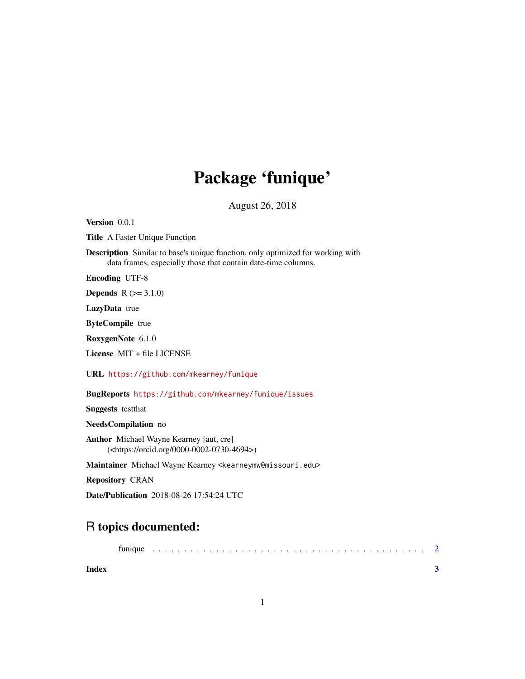## Package 'funique'

August 26, 2018

<span id="page-0-0"></span>Version 0.0.1

Title A Faster Unique Function

Description Similar to base's unique function, only optimized for working with data frames, especially those that contain date-time columns.

Encoding UTF-8

**Depends**  $R (= 3.1.0)$ 

LazyData true

ByteCompile true

RoxygenNote 6.1.0

License MIT + file LICENSE

URL <https://github.com/mkearney/funique>

BugReports <https://github.com/mkearney/funique/issues>

Suggests testthat

NeedsCompilation no

Author Michael Wayne Kearney [aut, cre] (<https://orcid.org/0000-0002-0730-4694>)

Maintainer Michael Wayne Kearney <kearneymw@missouri.edu>

Repository CRAN

Date/Publication 2018-08-26 17:54:24 UTC

### R topics documented:

|--|--|--|--|--|--|--|--|--|--|--|--|--|--|--|--|--|--|--|--|--|--|--|--|--|--|--|--|--|--|--|--|--|--|--|--|--|

**Index** [3](#page-2-0)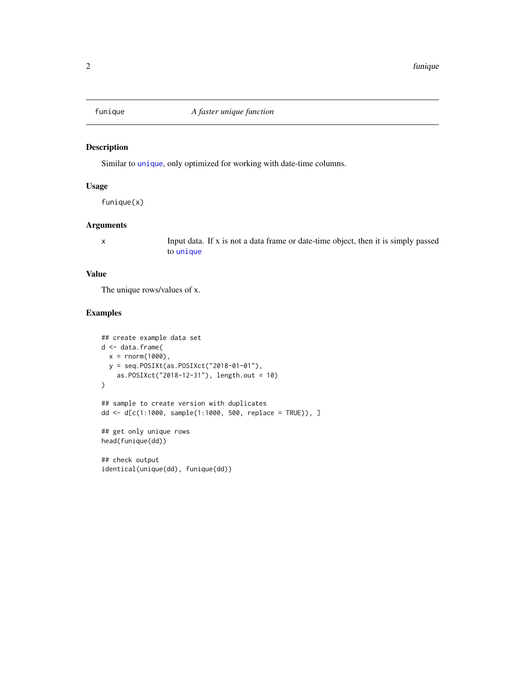<span id="page-1-0"></span>

#### Description

Similar to [unique](#page-0-0), only optimized for working with date-time columns.

#### Usage

funique(x)

#### Arguments

x Input data. If x is not a data frame or date-time object, then it is simply passed to [unique](#page-0-0)

#### Value

The unique rows/values of x.

#### Examples

```
## create example data set
d <- data.frame(
  x = rnorm(1000),
  y = seq.POSIXt(as.POSIXct("2018-01-01"),
    as.POSIXct("2018-12-31"), length.out = 10)
)
## sample to create version with duplicates
dd <- d[c(1:1000, sample(1:1000, 500, replace = TRUE)), ]
## get only unique rows
head(funique(dd))
## check output
identical(unique(dd), funique(dd))
```